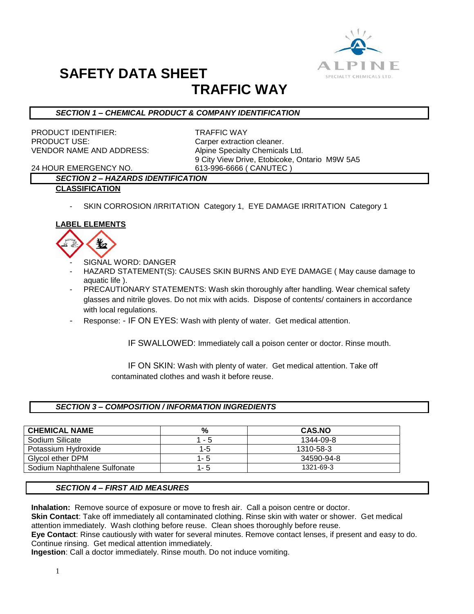

# **SAFETY DATA SHEET TRAFFIC WAY**

## *SECTION 1 – CHEMICAL PRODUCT & COMPANY IDENTIFICATION*

PRODUCT IDENTIFIER: TRAFFIC WAY PRODUCT USE: Carper extraction cleaner. VENDOR NAME AND ADDRESS: Alpine Specialty Chemicals Ltd.

9 City View Drive, Etobicoke, Ontario M9W 5A5

24 HOUR EMERGENCY NO. 613-996-6666 ( CANUTEC )

# *SECTION 2 – HAZARDS IDENTIFICATION*

#### **CLASSIFICATION**

SKIN CORROSION /IRRITATION Category 1, EYE DAMAGE IRRITATION Category 1

### **LABEL ELEMENTS**



- SIGNAL WORD: DANGER
- HAZARD STATEMENT(S): CAUSES SKIN BURNS AND EYE DAMAGE ( May cause damage to aquatic life ).
- PRECAUTIONARY STATEMENTS: Wash skin thoroughly after handling. Wear chemical safety glasses and nitrile gloves. Do not mix with acids. Dispose of contents/ containers in accordance with local regulations.
- Response: IF ON EYES: Wash with plenty of water. Get medical attention.

IF SWALLOWED: Immediately call a poison center or doctor. Rinse mouth.

 IF ON SKIN: Wash with plenty of water. Get medical attention. Take off contaminated clothes and wash it before reuse.

#### *SECTION 3 – COMPOSITION / INFORMATION INGREDIENTS*

| <b>CHEMICAL NAME</b>         | %       | <b>CAS.NO</b> |
|------------------------------|---------|---------------|
| Sodium Silicate              | $1 - 5$ | 1344-09-8     |
| Potassium Hydroxide          | 1-5     | 1310-58-3     |
| Givcol ether DPM             | $1 - 5$ | 34590-94-8    |
| Sodium Naphthalene Sulfonate | 1-5     | 1321-69-3     |

#### *SECTION 4 – FIRST AID MEASURES*

**Inhalation:** Remove source of exposure or move to fresh air. Call a poison centre or doctor.

**Skin Contact**: Take off immediately all contaminated clothing. Rinse skin with water or shower. Get medical attention immediately. Wash clothing before reuse. Clean shoes thoroughly before reuse.

**Eye Contact**: Rinse cautiously with water for several minutes. Remove contact lenses, if present and easy to do. Continue rinsing. Get medical attention immediately.

**Ingestion**: Call a doctor immediately. Rinse mouth. Do not induce vomiting.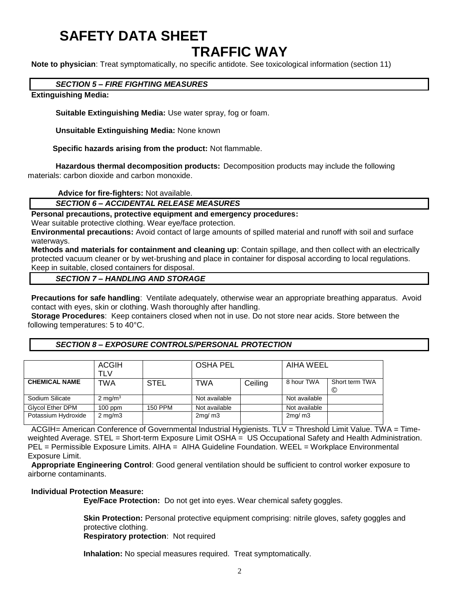# **SAFETY DATA SHEET**

# **TRAFFIC WAY**

**Note to physician**: Treat symptomatically, no specific antidote. See toxicological information (section 11)

## *SECTION 5 – FIRE FIGHTING MEASURES*

### **Extinguishing Media:**

**Suitable Extinguishing Media:** Use water spray, fog or foam.

**Unsuitable Extinguishing Media:** None known

 **Specific hazards arising from the product:** Not flammable.

**Hazardous thermal decomposition products:** Decomposition products may include the following materials: carbon dioxide and carbon monoxide.

**Advice for fire-fighters:** Not available.

*SECTION 6 – ACCIDENTAL RELEASE MEASURES*

### **Personal precautions, protective equipment and emergency procedures:**

Wear suitable protective clothing. Wear eve/face protection.

**Environmental precautions:** Avoid contact of large amounts of spilled material and runoff with soil and surface waterways.

**Methods and materials for containment and cleaning up**: Contain spillage, and then collect with an electrically protected vacuum cleaner or by wet-brushing and place in container for disposal according to local regulations. Keep in suitable, closed containers for disposal.

*SECTION 7 – HANDLING AND STORAGE*

**Precautions for safe handling**: Ventilate adequately, otherwise wear an appropriate breathing apparatus. Avoid contact with eyes, skin or clothing. Wash thoroughly after handling.

**Storage Procedures**: Keep containers closed when not in use. Do not store near acids. Store between the following temperatures: 5 to 40°C.

### *SECTION 8 – EXPOSURE CONTROLS/PERSONAL PROTECTION*

|                         | <b>ACGIH</b><br>TLV |                | <b>OSHA PEL</b> |         | AIHA WEEL     |                     |
|-------------------------|---------------------|----------------|-----------------|---------|---------------|---------------------|
| <b>CHEMICAL NAME</b>    | TWA                 | <b>STEL</b>    | TWA             | Ceiling | 8 hour TWA    | Short term TWA<br>© |
| Sodium Silicate         | $2 \text{ mg/m}^3$  |                | Not available   |         | Not available |                     |
| <b>Glycol Ether DPM</b> | $100$ ppm           | <b>150 PPM</b> | Not available   |         | Not available |                     |
| Potassium Hydroxide     | $2 \text{ mg/m}$    |                | 2mq/m3          |         | 2mg/m3        |                     |

ACGIH= American Conference of Governmental Industrial Hygienists. TLV = Threshold Limit Value. TWA = Timeweighted Average. STEL = Short-term Exposure Limit OSHA = US Occupational Safety and Health Administration. PEL = Permissible Exposure Limits. AIHA = AIHA Guideline Foundation. WEEL = Workplace Environmental Exposure Limit.

**Appropriate Engineering Control**: Good general ventilation should be sufficient to control worker exposure to airborne contaminants.

#### **Individual Protection Measure:**

**Eye/Face Protection:** Do not get into eyes. Wear chemical safety goggles.

**Skin Protection:** Personal protective equipment comprising: nitrile gloves, safety goggles and protective clothing.

**Respiratory protection**: Not required

**Inhalation:** No special measures required. Treat symptomatically.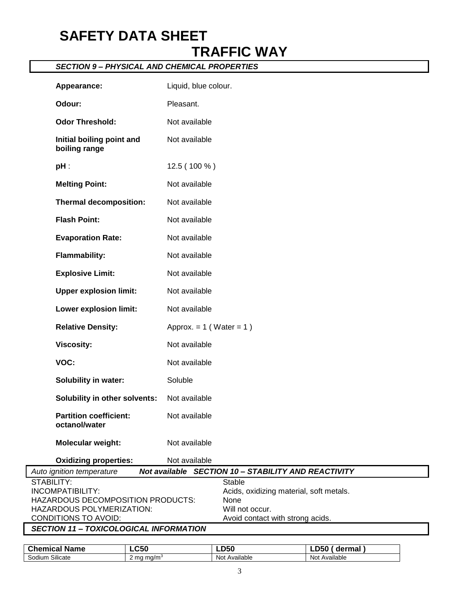# **SAFETY DATA SHEET TRAFFIC WAY**

## *SECTION 9 – PHYSICAL AND CHEMICAL PROPERTIES*

| Appearance:                                           | Liquid, blue colour.                                |
|-------------------------------------------------------|-----------------------------------------------------|
| Odour:                                                | Pleasant.                                           |
| <b>Odor Threshold:</b>                                | Not available                                       |
| Initial boiling point and<br>boiling range            | Not available                                       |
| $pH$ :                                                | 12.5 (100 %)                                        |
| <b>Melting Point:</b>                                 | Not available                                       |
| <b>Thermal decomposition:</b>                         | Not available                                       |
| <b>Flash Point:</b>                                   | Not available                                       |
| <b>Evaporation Rate:</b>                              | Not available                                       |
| <b>Flammability:</b>                                  | Not available                                       |
| <b>Explosive Limit:</b>                               | Not available                                       |
| <b>Upper explosion limit:</b>                         | Not available                                       |
| Lower explosion limit:                                | Not available                                       |
| <b>Relative Density:</b>                              | Approx. $= 1$ (Water $= 1$ )                        |
| <b>Viscosity:</b>                                     | Not available                                       |
| VOC:                                                  | Not available                                       |
| Solubility in water:                                  | Soluble                                             |
| Solubility in other solvents:                         | Not available                                       |
| <b>Partition coefficient:</b><br>octanol/water        | Not available                                       |
| Molecular weight:                                     | Not available                                       |
| <b>Oxidizing properties:</b>                          | Not available                                       |
| Auto ignition temperature                             | Not available SECTION 10 - STABILITY AND REACTIVITY |
| STABILITY:                                            | Stable                                              |
| INCOMPATIBILITY:<br>HAZARDOUS DECOMPOSITION PRODUCTS: | Acids, oxidizing material, soft metals.<br>None     |
| HAZARDOUS POLYMERIZATION:                             | Will not occur.                                     |
| CONDITIONS TO AVOID:                                  | Avoid contact with strong acids.                    |
| <b>SECTION 11 - TOXICOLOGICAL INFORMATION</b>         |                                                     |

| <b>Chemical Name</b>                | <b>_C50</b>               | LD50                    | <b>DEO</b><br>dermal<br>∍ ייכ                         |  |
|-------------------------------------|---------------------------|-------------------------|-------------------------------------------------------|--|
| $\sim \cdots$<br>Silicate<br>Sodiun | ma/m <sup>3</sup><br>2 ma | . .<br>Not<br>Available | $\cdots$<br>$\ddot{\phantom{1}}$<br>Not.<br>Available |  |